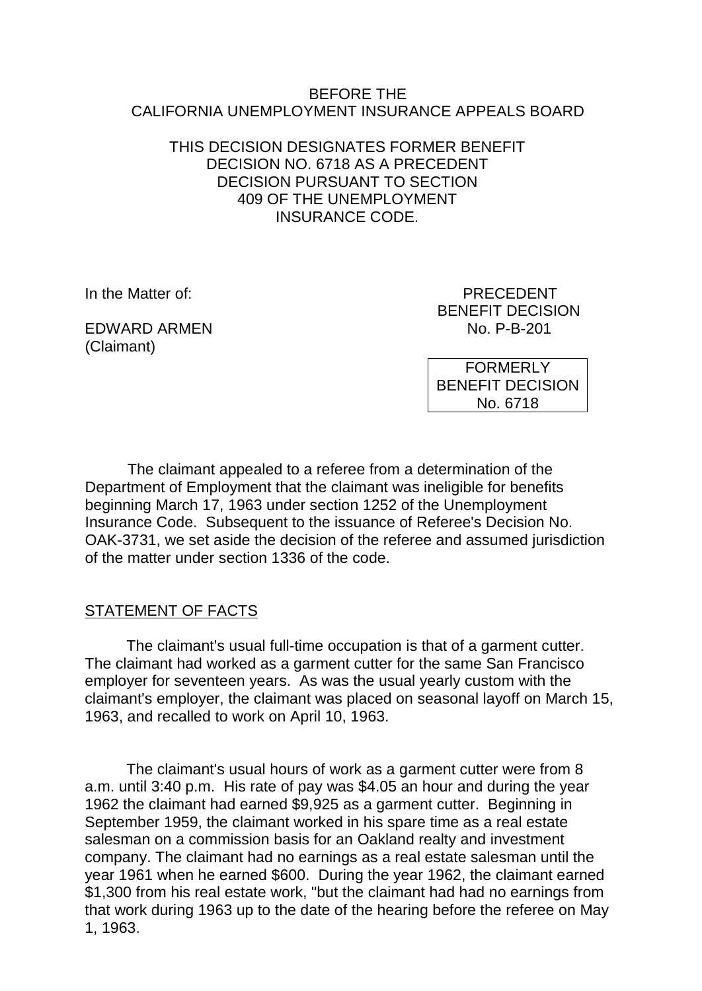### BEFORE THE CALIFORNIA UNEMPLOYMENT INSURANCE APPEALS BOARD

### THIS DECISION DESIGNATES FORMER BENEFIT DECISION NO. 6718 AS A PRECEDENT DECISION PURSUANT TO SECTION 409 OF THE UNEMPLOYMENT INSURANCE CODE.

EDWARD ARMEN NO. P-B-201 (Claimant)

In the Matter of: **PRECEDENT** BENEFIT DECISION

> FORMERLY BENEFIT DECISION No. 6718

The claimant appealed to a referee from a determination of the Department of Employment that the claimant was ineligible for benefits beginning March 17, 1963 under section 1252 of the Unemployment Insurance Code. Subsequent to the issuance of Referee's Decision No. OAK-3731, we set aside the decision of the referee and assumed jurisdiction of the matter under section 1336 of the code.

# STATEMENT OF FACTS

The claimant's usual full-time occupation is that of a garment cutter. The claimant had worked as a garment cutter for the same San Francisco employer for seventeen years. As was the usual yearly custom with the claimant's employer, the claimant was placed on seasonal layoff on March 15, 1963, and recalled to work on April 10, 1963.

The claimant's usual hours of work as a garment cutter were from 8 a.m. until 3:40 p.m. His rate of pay was \$4.05 an hour and during the year 1962 the claimant had earned \$9,925 as a garment cutter. Beginning in September 1959, the claimant worked in his spare time as a real estate salesman on a commission basis for an Oakland realty and investment company. The claimant had no earnings as a real estate salesman until the year 1961 when he earned \$600. During the year 1962, the claimant earned \$1,300 from his real estate work, "but the claimant had had no earnings from that work during 1963 up to the date of the hearing before the referee on May 1, 1963.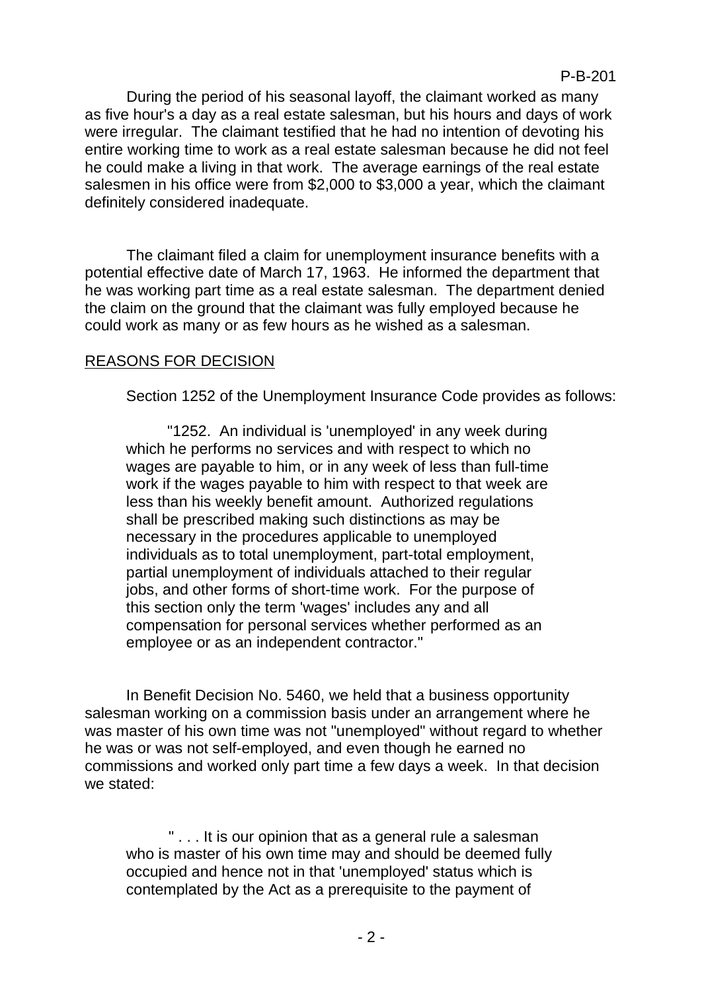P-B-201

During the period of his seasonal layoff, the claimant worked as many as five hour's a day as a real estate salesman, but his hours and days of work were irregular. The claimant testified that he had no intention of devoting his entire working time to work as a real estate salesman because he did not feel he could make a living in that work. The average earnings of the real estate salesmen in his office were from \$2,000 to \$3,000 a year, which the claimant definitely considered inadequate.

The claimant filed a claim for unemployment insurance benefits with a potential effective date of March 17, 1963. He informed the department that he was working part time as a real estate salesman. The department denied the claim on the ground that the claimant was fully employed because he could work as many or as few hours as he wished as a salesman.

### REASONS FOR DECISION

Section 1252 of the Unemployment Insurance Code provides as follows:

"1252. An individual is 'unemployed' in any week during which he performs no services and with respect to which no wages are payable to him, or in any week of less than full-time work if the wages payable to him with respect to that week are less than his weekly benefit amount. Authorized regulations shall be prescribed making such distinctions as may be necessary in the procedures applicable to unemployed individuals as to total unemployment, part-total employment, partial unemployment of individuals attached to their regular jobs, and other forms of short-time work. For the purpose of this section only the term 'wages' includes any and all compensation for personal services whether performed as an employee or as an independent contractor."

In Benefit Decision No. 5460, we held that a business opportunity salesman working on a commission basis under an arrangement where he was master of his own time was not "unemployed" without regard to whether he was or was not self-employed, and even though he earned no commissions and worked only part time a few days a week. In that decision we stated:

" . . . It is our opinion that as a general rule a salesman who is master of his own time may and should be deemed fully occupied and hence not in that 'unemployed' status which is contemplated by the Act as a prerequisite to the payment of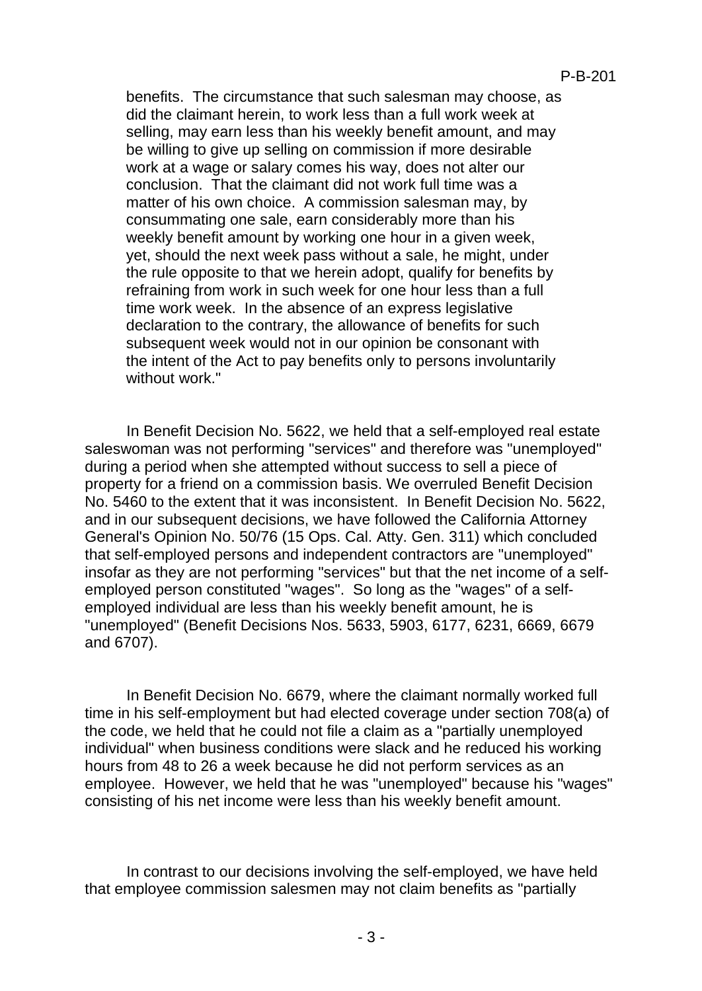benefits. The circumstance that such salesman may choose, as did the claimant herein, to work less than a full work week at selling, may earn less than his weekly benefit amount, and may be willing to give up selling on commission if more desirable work at a wage or salary comes his way, does not alter our conclusion. That the claimant did not work full time was a matter of his own choice. A commission salesman may, by consummating one sale, earn considerably more than his weekly benefit amount by working one hour in a given week, yet, should the next week pass without a sale, he might, under the rule opposite to that we herein adopt, qualify for benefits by refraining from work in such week for one hour less than a full time work week. In the absence of an express legislative declaration to the contrary, the allowance of benefits for such subsequent week would not in our opinion be consonant with the intent of the Act to pay benefits only to persons involuntarily without work."

In Benefit Decision No. 5622, we held that a self-employed real estate saleswoman was not performing "services" and therefore was "unemployed" during a period when she attempted without success to sell a piece of property for a friend on a commission basis. We overruled Benefit Decision No. 5460 to the extent that it was inconsistent. In Benefit Decision No. 5622, and in our subsequent decisions, we have followed the California Attorney General's Opinion No. 50/76 (15 Ops. Cal. Atty. Gen. 311) which concluded that self-employed persons and independent contractors are "unemployed" insofar as they are not performing "services" but that the net income of a selfemployed person constituted "wages". So long as the "wages" of a selfemployed individual are less than his weekly benefit amount, he is "unemployed" (Benefit Decisions Nos. 5633, 5903, 6177, 6231, 6669, 6679 and 6707).

In Benefit Decision No. 6679, where the claimant normally worked full time in his self-employment but had elected coverage under section 708(a) of the code, we held that he could not file a claim as a "partially unemployed individual" when business conditions were slack and he reduced his working hours from 48 to 26 a week because he did not perform services as an employee. However, we held that he was "unemployed" because his "wages" consisting of his net income were less than his weekly benefit amount.

In contrast to our decisions involving the self-employed, we have held that employee commission salesmen may not claim benefits as "partially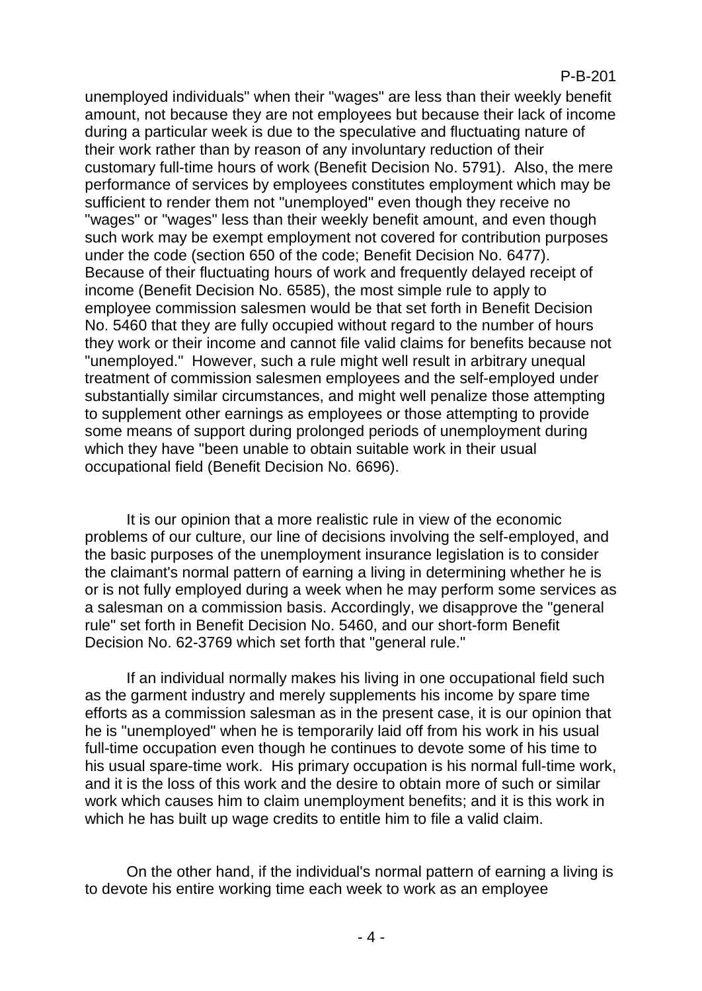#### P-B-201

unemployed individuals" when their "wages" are less than their weekly benefit amount, not because they are not employees but because their lack of income during a particular week is due to the speculative and fluctuating nature of their work rather than by reason of any involuntary reduction of their customary full-time hours of work (Benefit Decision No. 5791). Also, the mere performance of services by employees constitutes employment which may be sufficient to render them not "unemployed" even though they receive no "wages" or "wages" less than their weekly benefit amount, and even though such work may be exempt employment not covered for contribution purposes under the code (section 650 of the code; Benefit Decision No. 6477). Because of their fluctuating hours of work and frequently delayed receipt of income (Benefit Decision No. 6585), the most simple rule to apply to employee commission salesmen would be that set forth in Benefit Decision No. 5460 that they are fully occupied without regard to the number of hours they work or their income and cannot file valid claims for benefits because not "unemployed." However, such a rule might well result in arbitrary unequal treatment of commission salesmen employees and the self-employed under substantially similar circumstances, and might well penalize those attempting to supplement other earnings as employees or those attempting to provide some means of support during prolonged periods of unemployment during which they have "been unable to obtain suitable work in their usual occupational field (Benefit Decision No. 6696).

It is our opinion that a more realistic rule in view of the economic problems of our culture, our line of decisions involving the self-employed, and the basic purposes of the unemployment insurance legislation is to consider the claimant's normal pattern of earning a living in determining whether he is or is not fully employed during a week when he may perform some services as a salesman on a commission basis. Accordingly, we disapprove the "general rule" set forth in Benefit Decision No. 5460, and our short-form Benefit Decision No. 62-3769 which set forth that "general rule."

If an individual normally makes his living in one occupational field such as the garment industry and merely supplements his income by spare time efforts as a commission salesman as in the present case, it is our opinion that he is "unemployed" when he is temporarily laid off from his work in his usual full-time occupation even though he continues to devote some of his time to his usual spare-time work. His primary occupation is his normal full-time work, and it is the loss of this work and the desire to obtain more of such or similar work which causes him to claim unemployment benefits; and it is this work in which he has built up wage credits to entitle him to file a valid claim.

On the other hand, if the individual's normal pattern of earning a living is to devote his entire working time each week to work as an employee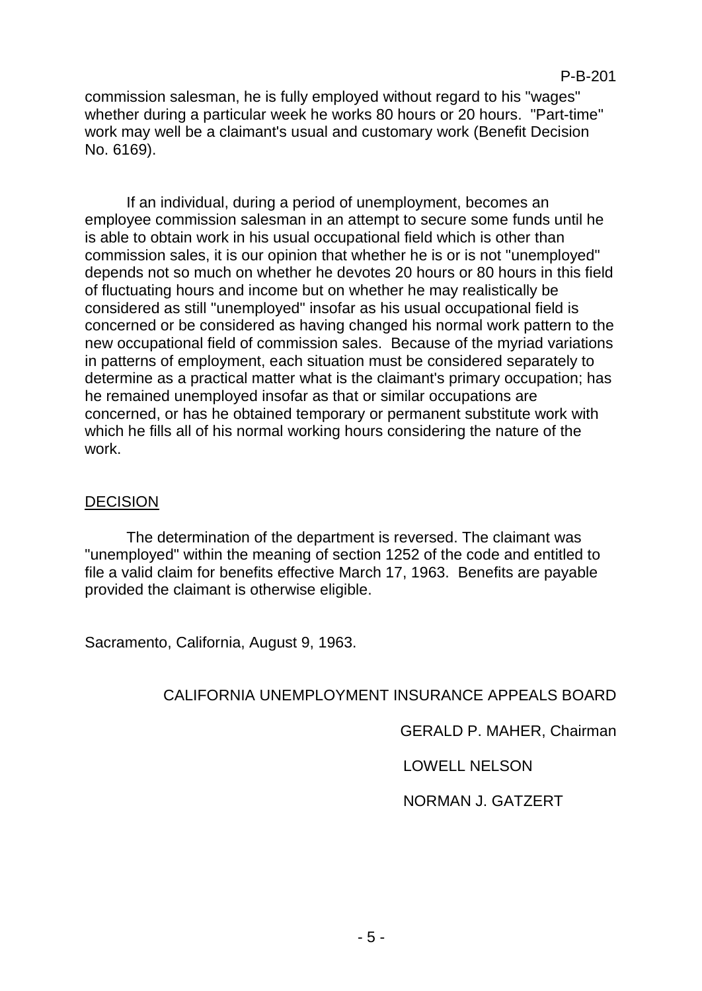commission salesman, he is fully employed without regard to his "wages" whether during a particular week he works 80 hours or 20 hours. "Part-time" work may well be a claimant's usual and customary work (Benefit Decision No. 6169).

If an individual, during a period of unemployment, becomes an employee commission salesman in an attempt to secure some funds until he is able to obtain work in his usual occupational field which is other than commission sales, it is our opinion that whether he is or is not "unemployed" depends not so much on whether he devotes 20 hours or 80 hours in this field of fluctuating hours and income but on whether he may realistically be considered as still "unemployed" insofar as his usual occupational field is concerned or be considered as having changed his normal work pattern to the new occupational field of commission sales. Because of the myriad variations in patterns of employment, each situation must be considered separately to determine as a practical matter what is the claimant's primary occupation; has he remained unemployed insofar as that or similar occupations are concerned, or has he obtained temporary or permanent substitute work with which he fills all of his normal working hours considering the nature of the work.

# **DECISION**

The determination of the department is reversed. The claimant was "unemployed" within the meaning of section 1252 of the code and entitled to file a valid claim for benefits effective March 17, 1963. Benefits are payable provided the claimant is otherwise eligible.

Sacramento, California, August 9, 1963.

# CALIFORNIA UNEMPLOYMENT INSURANCE APPEALS BOARD

GERALD P. MAHER, Chairman

# LOWELL NELSON

### NORMAN J. GATZERT